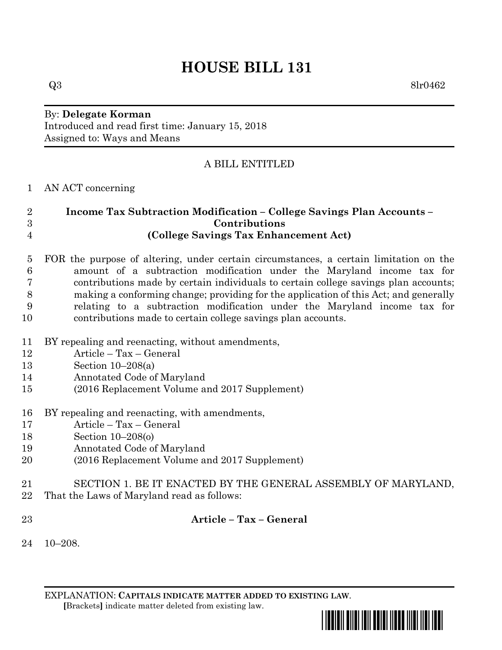# **HOUSE BILL 131**

 $Q3 \qquad \qquad 8 \text{lr} 0462$ 

#### By: **Delegate Korman** Introduced and read first time: January 15, 2018 Assigned to: Ways and Means

# A BILL ENTITLED

### AN ACT concerning

## **Income Tax Subtraction Modification – College Savings Plan Accounts – Contributions (College Savings Tax Enhancement Act)**

 FOR the purpose of altering, under certain circumstances, a certain limitation on the amount of a subtraction modification under the Maryland income tax for contributions made by certain individuals to certain college savings plan accounts; making a conforming change; providing for the application of this Act; and generally relating to a subtraction modification under the Maryland income tax for contributions made to certain college savings plan accounts.

- BY repealing and reenacting, without amendments,
- Article Tax General
- Section 10–208(a)
- Annotated Code of Maryland
- (2016 Replacement Volume and 2017 Supplement)
- BY repealing and reenacting, with amendments,
- Article Tax General
- Section 10–208(o)
- Annotated Code of Maryland
- (2016 Replacement Volume and 2017 Supplement)
- SECTION 1. BE IT ENACTED BY THE GENERAL ASSEMBLY OF MARYLAND,
- That the Laws of Maryland read as follows:
- 

**Article – Tax – General**

10–208.

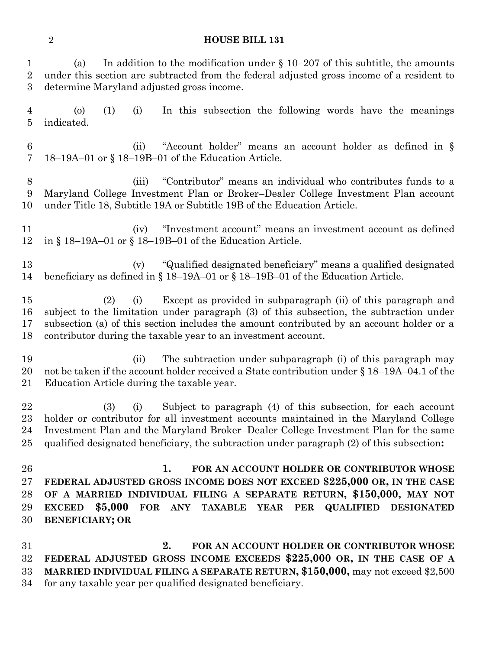#### **HOUSE BILL 131**

| 1<br>$\sqrt{2}$<br>3               | In addition to the modification under $\S$ 10–207 of this subtitle, the amounts<br>(a)<br>under this section are subtracted from the federal adjusted gross income of a resident to<br>determine Maryland adjusted gross income.                                                                                                                        |
|------------------------------------|---------------------------------------------------------------------------------------------------------------------------------------------------------------------------------------------------------------------------------------------------------------------------------------------------------------------------------------------------------|
| $\overline{4}$<br>$\overline{5}$   | In this subsection the following words have the meanings<br>$\circ$<br>(1)<br>(i)<br>indicated.                                                                                                                                                                                                                                                         |
| $\boldsymbol{6}$<br>$\overline{7}$ | "Account holder" means an account holder as defined in §<br>(ii)<br>18–19A–01 or § 18–19B–01 of the Education Article.                                                                                                                                                                                                                                  |
| $8\,$<br>9<br>10                   | "Contributor" means an individual who contributes funds to a<br>(iii)<br>Maryland College Investment Plan or Broker-Dealer College Investment Plan account<br>under Title 18, Subtitle 19A or Subtitle 19B of the Education Article.                                                                                                                    |
| 11<br>12                           | "Investment account" means an investment account as defined<br>(iv)<br>in § 18–19A–01 or § 18–19B–01 of the Education Article.                                                                                                                                                                                                                          |
| 13<br>14                           | "Qualified designated beneficiary" means a qualified designated<br>(v)<br>beneficiary as defined in $\S 18-19A-01$ or $\S 18-19B-01$ of the Education Article.                                                                                                                                                                                          |
| 15<br>16<br>17<br>18               | Except as provided in subparagraph (ii) of this paragraph and<br>(2)<br>(i)<br>subject to the limitation under paragraph (3) of this subsection, the subtraction under<br>subsection (a) of this section includes the amount contributed by an account holder or a<br>contributor during the taxable year to an investment account.                     |
| 19<br>20<br>21                     | The subtraction under subparagraph (i) of this paragraph may<br>(ii)<br>not be taken if the account holder received a State contribution under § 18–19A–04.1 of the<br>Education Article during the taxable year.                                                                                                                                       |
| 22<br>23<br>24<br>25               | Subject to paragraph (4) of this subsection, for each account<br>(3)<br>(i)<br>holder or contributor for all investment accounts maintained in the Maryland College<br>Investment Plan and the Maryland Broker–Dealer College Investment Plan for the same<br>qualified designated beneficiary, the subtraction under paragraph (2) of this subsection: |
| 26<br>27<br>28<br>29<br>30         | 1.<br>FOR AN ACCOUNT HOLDER OR CONTRIBUTOR WHOSE<br>FEDERAL ADJUSTED GROSS INCOME DOES NOT EXCEED \$225,000 OR, IN THE CASE<br>OF A MARRIED INDIVIDUAL FILING A SEPARATE RETURN, \$150,000, MAY NOT<br>\$5,000<br>FOR ANY TAXABLE YEAR PER<br><b>QUALIFIED DESIGNATED</b><br><b>EXCEED</b><br><b>BENEFICIARY; OR</b>                                    |
| 31<br>32<br>33<br>34               | 2.<br>FOR AN ACCOUNT HOLDER OR CONTRIBUTOR WHOSE<br>FEDERAL ADJUSTED GROSS INCOME EXCEEDS \$225,000 OR, IN THE CASE OF A<br>MARRIED INDIVIDUAL FILING A SEPARATE RETURN, \$150,000, may not exceed \$2,500<br>for any taxable year per qualified designated beneficiary.                                                                                |